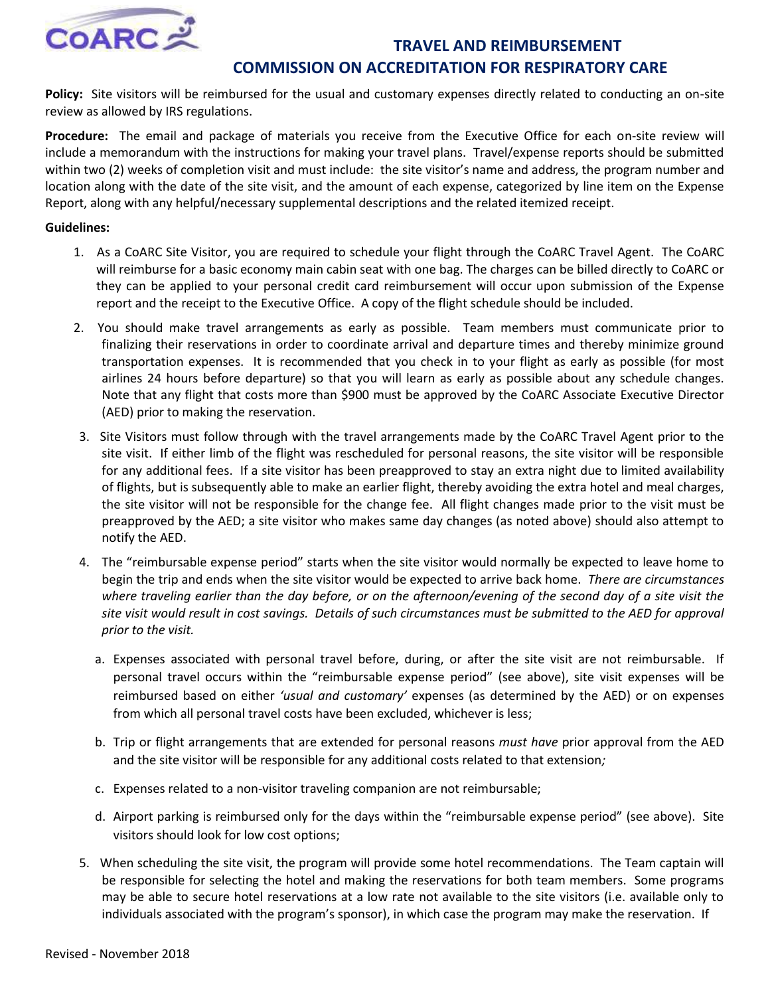

## **TRAVEL AND REIMBURSEMENT COMMISSION ON ACCREDITATION FOR RESPIRATORY CARE**

**Policy:** Site visitors will be reimbursed for the usual and customary expenses directly related to conducting an on-site review as allowed by IRS regulations.

**Procedure:** The email and package of materials you receive from the Executive Office for each on-site review will include a memorandum with the instructions for making your travel plans. Travel/expense reports should be submitted within two (2) weeks of completion visit and must include: the site visitor's name and address, the program number and location along with the date of the site visit, and the amount of each expense, categorized by line item on the Expense Report, along with any helpful/necessary supplemental descriptions and the related itemized receipt.

## **Guidelines:**

- 1. As a CoARC Site Visitor, you are required to schedule your flight through the CoARC Travel Agent. The CoARC will reimburse for a basic economy main cabin seat with one bag. The charges can be billed directly to CoARC or they can be applied to your personal credit card reimbursement will occur upon submission of the Expense report and the receipt to the Executive Office. A copy of the flight schedule should be included.
- 2. You should make travel arrangements as early as possible. Team members must communicate prior to finalizing their reservations in order to coordinate arrival and departure times and thereby minimize ground transportation expenses. It is recommended that you check in to your flight as early as possible (for most airlines 24 hours before departure) so that you will learn as early as possible about any schedule changes. Note that any flight that costs more than \$900 must be approved by the CoARC Associate Executive Director (AED) prior to making the reservation.
- 3. Site Visitors must follow through with the travel arrangements made by the CoARC Travel Agent prior to the site visit. If either limb of the flight was rescheduled for personal reasons, the site visitor will be responsible for any additional fees. If a site visitor has been preapproved to stay an extra night due to limited availability of flights, but is subsequently able to make an earlier flight, thereby avoiding the extra hotel and meal charges, the site visitor will not be responsible for the change fee. All flight changes made prior to the visit must be preapproved by the AED; a site visitor who makes same day changes (as noted above) should also attempt to notify the AED.
- 4. The "reimbursable expense period" starts when the site visitor would normally be expected to leave home to begin the trip and ends when the site visitor would be expected to arrive back home. *There are circumstances*  where traveling earlier than the day before, or on the afternoon/evening of the second day of a site visit the *site visit would result in cost savings. Details of such circumstances must be submitted to the AED for approval prior to the visit.* 
	- a. Expenses associated with personal travel before, during, or after the site visit are not reimbursable. If personal travel occurs within the "reimbursable expense period" (see above), site visit expenses will be reimbursed based on either *'usual and customary'* expenses (as determined by the AED) or on expenses from which all personal travel costs have been excluded, whichever is less;
	- b. Trip or flight arrangements that are extended for personal reasons *must have* prior approval from the AED and the site visitor will be responsible for any additional costs related to that extension*;*
	- c. Expenses related to a non-visitor traveling companion are not reimbursable;
	- d. Airport parking is reimbursed only for the days within the "reimbursable expense period" (see above). Site visitors should look for low cost options;
- 5. When scheduling the site visit, the program will provide some hotel recommendations. The Team captain will be responsible for selecting the hotel and making the reservations for both team members. Some programs may be able to secure hotel reservations at a low rate not available to the site visitors (i.e. available only to individuals associated with the program's sponsor), in which case the program may make the reservation. If